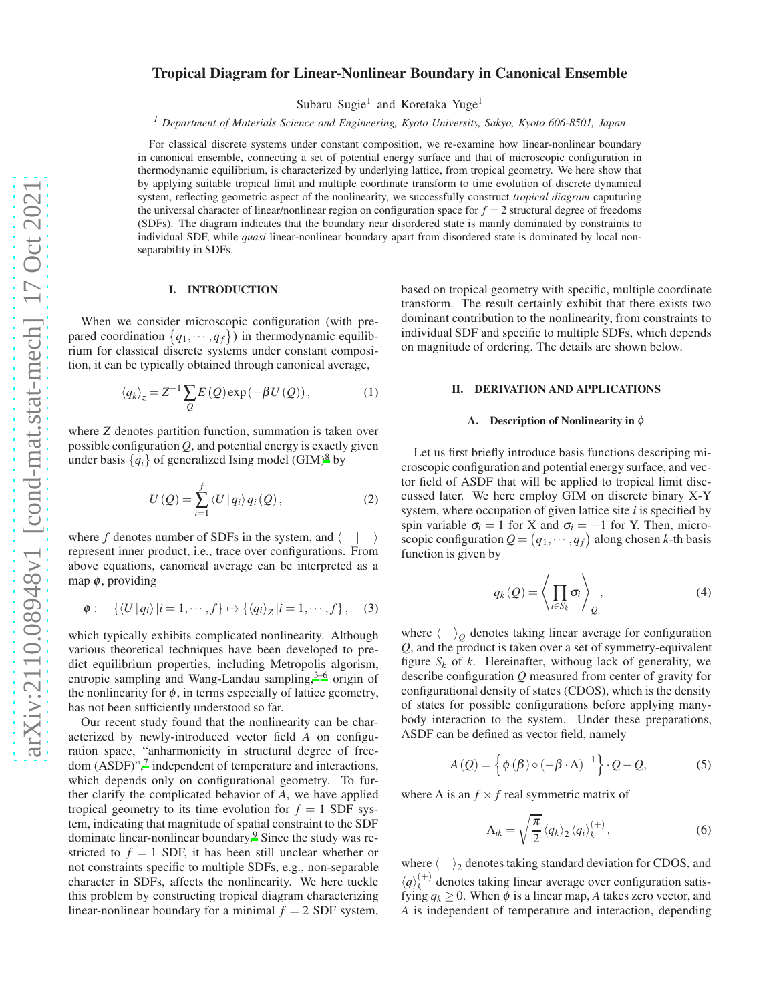# Tropical Diagram for Linear-Nonlinear Boundary in Canonical Ensemble

Subaru Sugie<sup>1</sup> and Koretaka Yuge<sup>1</sup>

*<sup>1</sup> Department of Materials Science and Engineering, Kyoto University, Sakyo, Kyoto 606-8501, Japan*

For classical discrete systems under constant composition, we re-examine how linear-nonlinear boundary in canonical ensemble, connecting a set of potential energy surface and that of microscopic configuration in thermodynamic equilibrium, is characterized by underlying lattice, from tropical geometry. We here show that by applying suitable tropical limit and multiple coordinate transform to time evolution of discrete dynamical system, reflecting geometric aspect of the nonlinearity, we successfully construct *tropical diagram* caputuring the universal character of linear/nonlinear region on configuration space for  $f = 2$  structural degree of freedoms (SDFs). The diagram indicates that the boundary near disordered state is mainly dominated by constraints to individual SDF, while *quasi* linear-nonlinear boundary apart from disordered state is dominated by local nonseparability in SDFs.

### I. INTRODUCTION

When we consider microscopic configuration (with prepared coordination  $\{q_1, \dots, q_f\}$ ) in thermodynamic equilibrium for classical discrete systems under constant composition, it can be typically obtained through canonical average,

$$
\langle q_k \rangle_z = Z^{-1} \sum_{Q} E\left(Q\right) \exp\left(-\beta U\left(Q\right)\right),\tag{1}
$$

where *Z* denotes partition function, summation is taken over possible configuration  $Q$ , and potential energy is exactly given under basis  $\{q_i\}$  of generalized Ising model (GIM)<sup>[8](#page-6-0)</sup> by

$$
U\left(Q\right) = \sum_{i=1}^{f} \left\langle U \left| q_i \right\rangle q_i\left(Q\right),\right.\tag{2}
$$

where f denotes number of SDFs in the system, and  $\langle \ | \ \rangle$ represent inner product, i.e., trace over configurations. From above equations, canonical average can be interpreted as a map  $\phi$ , providing

$$
\phi: \quad \{\langle U | q_i \rangle | i = 1, \cdots, f\} \mapsto \{\langle q_i \rangle_Z | i = 1, \cdots, f\}, \quad (3)
$$

which typically exhibits complicated nonlinearity. Although various theoretical techniques have been developed to predict equilibrium properties, including Metropolis algorism, entropic sampling and Wang-Landau sampling, $3-6$  $3-6$  origin of the nonlinearity for  $\phi$ , in terms especially of lattice geometry, has not been sufficiently understood so far.

Our recent study found that the nonlinearity can be characterized by newly-introduced vector field *A* on configuration space, "anharmonicity in structural degree of free-dom (ASDF)",<sup>[7](#page-6-3)</sup> independent of temperature and interactions, which depends only on configurational geometry. To further clarify the complicated behavior of *A*, we have applied tropical geometry to its time evolution for  $f = 1$  SDF system, indicating that magnitude of spatial constraint to the SDF dominate linear-nonlinear boundary.[9](#page-6-4) Since the study was restricted to  $f = 1$  SDF, it has been still unclear whether or not constraints specific to multiple SDFs, e.g., non-separable character in SDFs, affects the nonlinearity. We here tuckle this problem by constructing tropical diagram characterizing linear-nonlinear boundary for a minimal  $f = 2$  SDF system,

based on tropical geometry with specific, multiple coordinate transform. The result certainly exhibit that there exists two dominant contribution to the nonlinearity, from constraints to individual SDF and specific to multiple SDFs, which depends on magnitude of ordering. The details are shown below.

### II. DERIVATION AND APPLICATIONS

#### A. Description of Nonlinearity in  $\phi$

Let us first briefly introduce basis functions descriping microscopic configuration and potential energy surface, and vector field of ASDF that will be applied to tropical limit disccussed later. We here employ GIM on discrete binary X-Y system, where occupation of given lattice site *i* is specified by spin variable  $\sigma_i = 1$  for X and  $\sigma_i = -1$  for Y. Then, microscopic configuration  $Q = (q_1, \dots, q_f)$  along chosen *k*-th basis function is given by

$$
q_k(Q) = \left\langle \prod_{i \in S_k} \sigma_i \right\rangle_Q, \tag{4}
$$

where  $\langle \rangle_Q$  denotes taking linear average for configuration *Q*, and the product is taken over a set of symmetry-equivalent figure  $S_k$  of  $k$ . Hereinafter, withoug lack of generality, we describe configuration *Q* measured from center of gravity for configurational density of states (CDOS), which is the density of states for possible configurations before applying manybody interaction to the system. Under these preparations, ASDF can be defined as vector field, namely

$$
A(Q) = \left\{ \phi(\beta) \circ (-\beta \cdot \Lambda)^{-1} \right\} \cdot Q - Q,\tag{5}
$$

where  $\Lambda$  is an  $f \times f$  real symmetric matrix of

$$
\Lambda_{ik} = \sqrt{\frac{\pi}{2}} \langle q_k \rangle_2 \langle q_i \rangle_k^{(+)}, \qquad (6)
$$

where  $\langle \rangle_2$  denotes taking standard deviation for CDOS, and  $\langle q\rangle_k^{(+)}$  $\chi_k^{(+)}$  denotes taking linear average over configuration satisfying  $q_k \geq 0$ . When  $\phi$  is a linear map, A takes zero vector, and *A* is independent of temperature and interaction, depending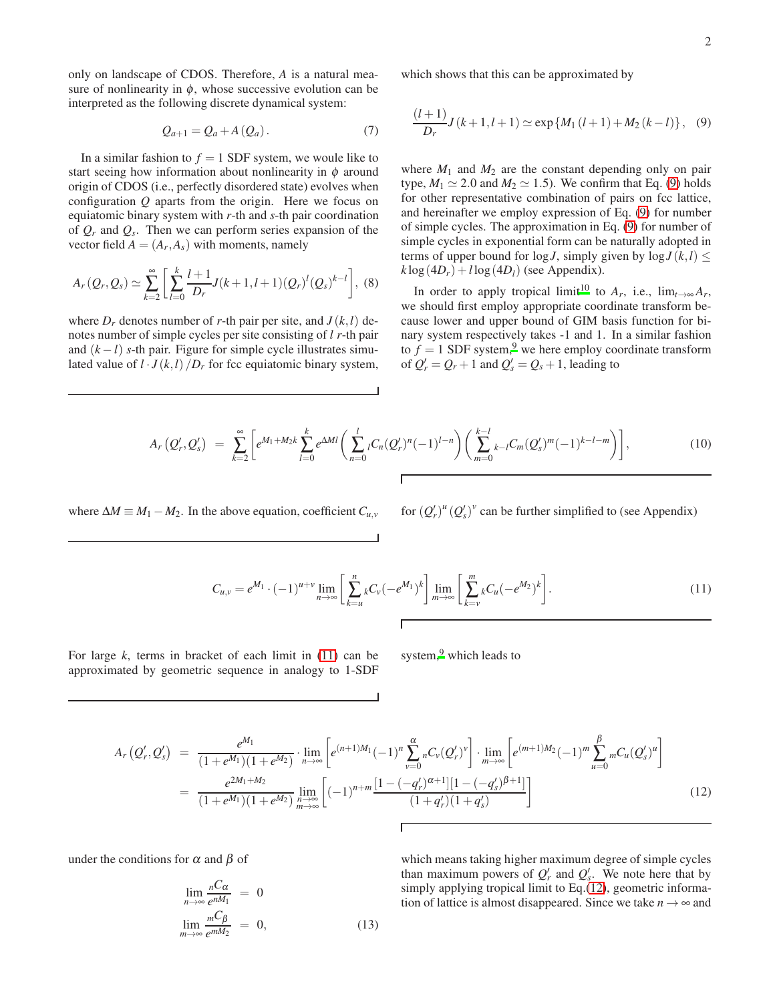only on landscape of CDOS. Therefore, *A* is a natural measure of nonlinearity in  $\phi$ , whose successive evolution can be interpreted as the following discrete dynamical system:

$$
Q_{a+1} = Q_a + A(Q_a). \tag{7}
$$

In a similar fashion to  $f = 1$  SDF system, we woule like to start seeing how information about nonlinearity in  $\phi$  around origin of CDOS (i.e., perfectly disordered state) evolves when configuration *Q* aparts from the origin. Here we focus on equiatomic binary system with *r*-th and *s*-th pair coordination of *Q<sup>r</sup>* and *Q<sup>s</sup>* . Then we can perform series expansion of the vector field  $A = (A_r, A_s)$  with moments, namely

$$
A_r(Q_r,Q_s) \simeq \sum_{k=2}^{\infty} \left[ \sum_{l=0}^{k} \frac{l+1}{D_r} J(k+1,l+1)(Q_r)^l (Q_s)^{k-l} \right], \tag{8}
$$

where  $D_r$  denotes number of *r*-th pair per site, and  $J(k, l)$  denotes number of simple cycles per site consisting of *l r*-th pair and  $(k - l)$  *s*-th pair. Figure for simple cycle illustrates simulated value of  $l \cdot J(k,l)/D_r$  for fcc equiatomic binary system, which shows that this can be approximated by

<span id="page-1-0"></span>
$$
\frac{(l+1)}{D_r}J(k+1,l+1) \simeq \exp\{M_1(l+1) + M_2(k-l)\}, \quad (9)
$$

where  $M_1$  and  $M_2$  are the constant depending only on pair type,  $M_1 \simeq 2.0$  and  $M_2 \simeq 1.5$ ). We confirm that Eq. [\(9\)](#page-1-0) holds for other representative combination of pairs on fcc lattice, and hereinafter we employ expression of Eq. [\(9\)](#page-1-0) for number of simple cycles. The approximation in Eq. [\(9\)](#page-1-0) for number of simple cycles in exponential form can be naturally adopted in terms of upper bound for  $\log J$ , simply given by  $\log J(k, l) \leq$  $k\log(4D_r) + l\log(4D_l)$  (see Appendix).

In order to apply tropical limit<sup>[10](#page-6-5)</sup> to  $A_r$ , i.e., lim<sub> $t\rightarrow\infty$ </sub> $A_r$ , we should first employ appropriate coordinate transform because lower and upper bound of GIM basis function for binary system respectively takes -1 and 1. In a similar fashion to  $f = 1$  SDF system,<sup>[9](#page-6-4)</sup> we here employ coordinate transform of  $Q'_r = Q_r + 1$  and  $Q'_s = Q_s + 1$ , leading to

$$
A_r(Q'_r,Q'_s) = \sum_{k=2}^{\infty} \left[ e^{M_1 + M_2 k} \sum_{l=0}^k e^{\Delta M l} \left( \sum_{n=0}^l {}_{l}C_n (Q'_r)^n (-1)^{l-n} \right) \left( \sum_{m=0}^{k-l} {}_{k-l}C_m (Q'_s)^m (-1)^{k-l-m} \right) \right],
$$
(10)

where  $\Delta M \equiv M_1 - M_2$ . In the above equation, coefficient  $C_{u,v}$ 

 $\int_{r}^{t}$ ,<sup>*u*</sup> ( $Q'_{s}$ )<sup>*v*</sup> can be further simplified to (see Appendix)

<span id="page-1-1"></span>
$$
C_{u,v} = e^{M_1} \cdot (-1)^{u+v} \lim_{n \to \infty} \left[ \sum_{k=u}^{n} {}_{k}C_{v} (-e^{M_1})^{k} \right] \lim_{m \to \infty} \left[ \sum_{k=v}^{m} {}_{k}C_{u} (-e^{M_2})^{k} \right]. \tag{11}
$$

For large *k*, terms in bracket of each limit in [\(11\)](#page-1-1) can be approximated by geometric sequence in analogy to 1-SDF system, $9$  which leads to

<span id="page-1-2"></span>
$$
A_r(Q'_r, Q'_s) = \frac{e^{M_1}}{(1+e^{M_1})(1+e^{M_2})} \cdot \lim_{n \to \infty} \left[ e^{(n+1)M_1}(-1)^n \sum_{\nu=0}^{\alpha} {}_{n}C_{\nu}(Q'_r)^{\nu} \right] \cdot \lim_{m \to \infty} \left[ e^{(m+1)M_2}(-1)^m \sum_{u=0}^{\beta} {}_{m}C_{u}(Q'_s)^{u} \right]
$$
  

$$
= \frac{e^{2M_1+M_2}}{(1+e^{M_1})(1+e^{M_2})} \lim_{\substack{n \to \infty \\ m \to \infty}} \left[ (-1)^{n+m} \frac{[1-(-q'_r)^{\alpha+1}][1-(-q'_s)^{\beta+1}]}{(1+q'_r)(1+q'_s)} \right]
$$
(12)

under the conditions for  $\alpha$  and  $\beta$  of

$$
\lim_{n \to \infty} \frac{{}_{n}C_{\alpha}}{{}_{e}^{nM_{1}}} = 0
$$
\n
$$
\lim_{m \to \infty} \frac{{}_{m}C_{\beta}}{{}_{e}^{mM_{2}}} = 0,
$$
\n(13)

which means taking higher maximum degree of simple cycles than maximum powers of  $Q'_r$  and  $Q'_s$ . We note here that by simply applying tropical limit to Eq.[\(12\)](#page-1-2), geometric information of lattice is almost disappeared. Since we take  $n \to \infty$  and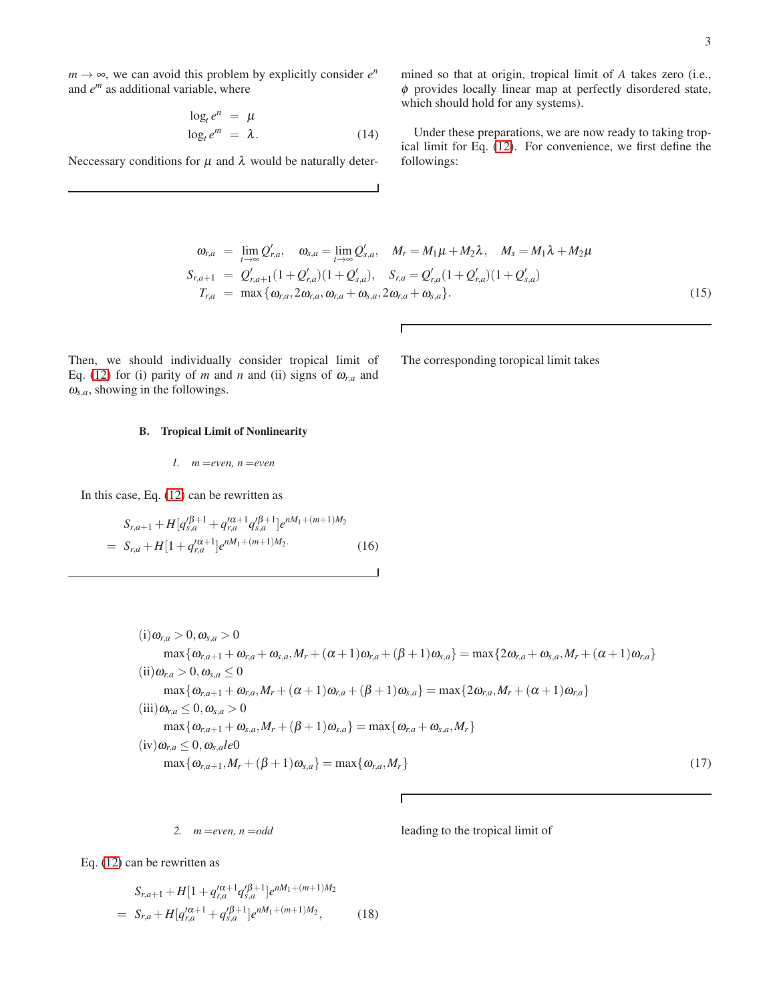$m \rightarrow \infty$ , we can avoid this problem by explicitly consider  $e^n$ and *e <sup>m</sup>* as additional variable, where

$$
\log_t e^n = \mu
$$
  

$$
\log_t e^m = \lambda.
$$
 (14)

Neccessary conditions for  $\mu$  and  $\lambda$  would be naturally deter-

mined so that at origin, tropical limit of *A* takes zero (i.e.,  $\phi$  provides locally linear map at perfectly disordered state, which should hold for any systems).

Under these preparations, we are now ready to taking tropical limit for Eq. [\(12\)](#page-1-2). For convenience, we first define the followings:

$$
\omega_{r,a} = \lim_{t \to \infty} Q'_{r,a}, \quad \omega_{s,a} = \lim_{t \to \infty} Q'_{s,a}, \quad M_r = M_1 \mu + M_2 \lambda, \quad M_s = M_1 \lambda + M_2 \mu
$$
  
\n
$$
S_{r,a+1} = Q'_{r,a+1} (1 + Q'_{r,a}) (1 + Q'_{s,a}), \quad S_{r,a} = Q'_{r,a} (1 + Q'_{r,a}) (1 + Q'_{s,a})
$$
  
\n
$$
T_{r,a} = \max \{ \omega_{r,a}, 2\omega_{r,a}, \omega_{r,a} + \omega_{s,a}, 2\omega_{r,a} + \omega_{s,a} \}.
$$
\n(15)

 $\overline{1}$ 

The corresponding toropical limit takes

Then, we should individually consider tropical limit of Eq. [\(12\)](#page-1-2) for (i) parity of *m* and *n* and (ii) signs of  $\omega_{r,a}$  and  $\omega_{s,a}$ , showing in the followings.

# B. Tropical Limit of Nonlinearity

$$
1. \quad m = even, n = even
$$

In this case, Eq. [\(12\)](#page-1-2) can be rewritten as

$$
S_{r,a+1} + H[q_{s,a}^{\prime \beta+1} + q_{r,a}^{\prime \alpha+1} q_{s,a}^{\prime \beta+1}]e^{nM_1 + (m+1)M_2}
$$
  
=  $S_{r,a} + H[1 + q_{r,a}^{\prime \alpha+1}]e^{nM_1 + (m+1)M_2}.$  (16)

<span id="page-2-0"></span>
$$
(i) \omega_{r,a} > 0, \omega_{s,a} > 0\nmax\{\omega_{r,a+1} + \omega_{r,a} + \omega_{s,a}, M_r + (\alpha + 1)\omega_{r,a} + (\beta + 1)\omega_{s,a}\} = \max\{2\omega_{r,a} + \omega_{s,a}, M_r + (\alpha + 1)\omega_{r,a}\}\n(ii) \omega_{r,a} > 0, \omega_{s,a} \le 0\nmax\{\omega_{r,a+1} + \omega_{r,a}, M_r + (\alpha + 1)\omega_{r,a} + (\beta + 1)\omega_{s,a}\} = \max\{2\omega_{r,a}, M_r + (\alpha + 1)\omega_{r,a}\}\n(iii) \omega_{r,a} \le 0, \omega_{s,a} > 0\nmax\{\omega_{r,a+1} + \omega_{s,a}, M_r + (\beta + 1)\omega_{s,a}\} = \max\{\omega_{r,a} + \omega_{s,a}, M_r\}\n(iv) \omega_{r,a} \le 0, \omega_{s,a} \le 0\nmax\{\omega_{r,a+1}, M_r + (\beta + 1)\omega_{s,a}\} = \max\{\omega_{r,a}, M_r\}
$$
\n(17)

Г

*2. m* =*even, n* =*odd*

leading to the tropical limit of

Eq. [\(12\)](#page-1-2) can be rewritten as

$$
S_{r,a+1} + H[1 + q_{r,a}^{\prime\alpha+1} q_{s,a}^{\prime\beta+1}]e^{nM_1 + (m+1)M_2}
$$
  
= 
$$
S_{r,a} + H[q_{r,a}^{\prime\alpha+1} + q_{s,a}^{\prime\beta+1}]e^{nM_1 + (m+1)M_2},
$$
 (18)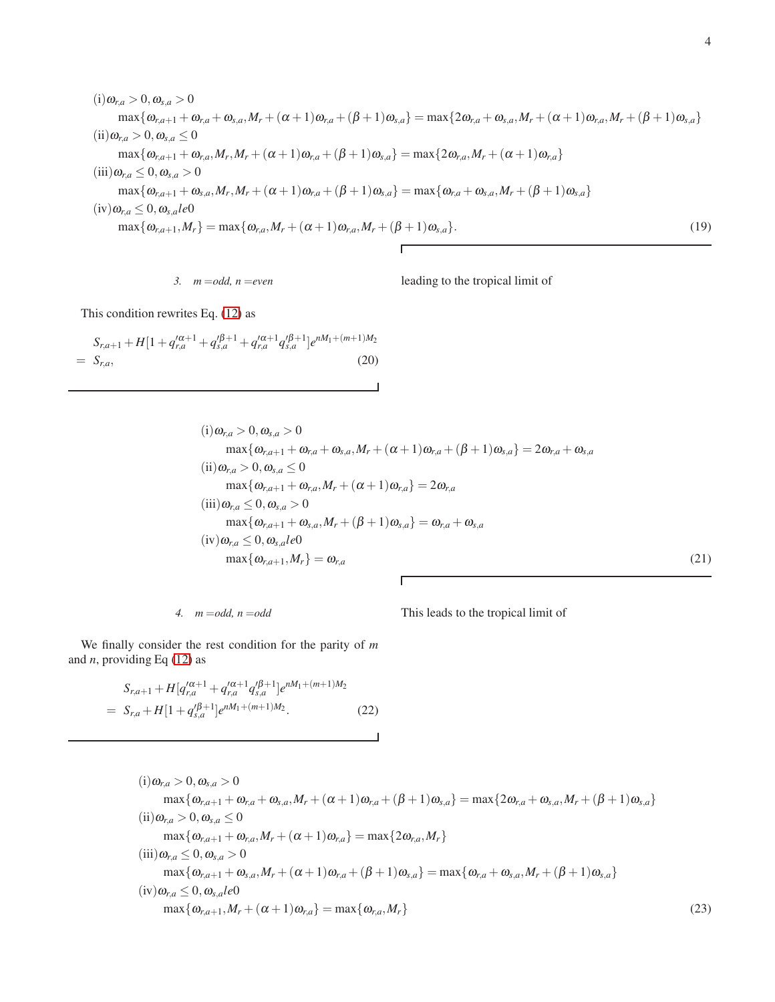$$
(i) \omega_{r,a} > 0, \omega_{s,a} > 0\nmax\{\omega_{r,a+1} + \omega_{r,a} + \omega_{s,a}, M_r + (\alpha + 1)\omega_{r,a} + (\beta + 1)\omega_{s,a}\} = \max\{2\omega_{r,a} + \omega_{s,a}, M_r + (\alpha + 1)\omega_{r,a}, M_r + (\beta + 1)\omega_{s,a}\}\n(ii) \omega_{r,a} > 0, \omega_{s,a} \le 0\nmax\{\omega_{r,a+1} + \omega_{r,a}, M_r, M_r + (\alpha + 1)\omega_{r,a} + (\beta + 1)\omega_{s,a}\} = \max\{2\omega_{r,a}, M_r + (\alpha + 1)\omega_{r,a}\}\n(iii) \omega_{r,a} \le 0, \omega_{s,a} > 0\nmax\{\omega_{r,a+1} + \omega_{s,a}, M_r, M_r + (\alpha + 1)\omega_{r,a} + (\beta + 1)\omega_{s,a}\} = \max\{\omega_{r,a} + \omega_{s,a}, M_r + (\beta + 1)\omega_{s,a}\}\n(iv) \omega_{r,a} \le 0, \omega_{s,a} \le 0\nmax\{\omega_{r,a+1}, M_r\} = \max\{\omega_{r,a}, M_r + (\alpha + 1)\omega_{r,a}, M_r + (\beta + 1)\omega_{s,a}\}.
$$
\n(19)

*3. m* =*odd, n* =*even*

leading to the tropical limit of

This condition rewrites Eq. [\(12\)](#page-1-2) as

$$
S_{r,a+1} + H[1 + q_{r,a}^{\prime \alpha + 1} + q_{s,a}^{\prime \beta + 1} + q_{r,a}^{\prime \alpha + 1} q_{s,a}^{\prime \beta + 1}]e^{nM_1 + (m+1)M_2}
$$
  
=  $S_{r,a}$ , (20)

 $(i) \omega_{r,a} > 0, \omega_{s,a} > 0$  $\max{\{\omega_{r,a+1} + \omega_{r,a} + \omega_{s,a}, M_r + (\alpha+1)\omega_{r,a} + (\beta+1)\omega_{s,a}\}} = 2\omega_{r,a} + \omega_{s,a}$  $(ii) \omega_{r,a} > 0, \omega_{s,a} \leq 0$  $\max{\{\omega_{r,a+1} + \omega_{r,a}, M_r + (\alpha + 1)\omega_{r,a}\}} = 2\omega_{r,a}$  $(iii) \omega_{r,a} \leq 0, \omega_{s,a} > 0$  $\max{\{\omega_{r,a+1} + \omega_{s,a}, M_r + (\beta + 1)\omega_{s,a}\}} = \omega_{r,a} + \omega_{s,a}$  $(iv) \omega_{r,a} \leq 0, \omega_{s,a} \neq 0$  $\max{\{\omega_{r,a+1}, M_r\}} = \omega_{r,a}$  (21)

4. 
$$
m = odd, n = odd
$$

This leads to the tropical limit of

We finally consider the rest condition for the parity of *m* and *n*, providing Eq [\(12\)](#page-1-2) as

$$
S_{r,a+1} + H[q_{r,a}^{\prime\alpha+1} + q_{r,a}^{\prime\alpha+1}q_{s,a}^{\prime\beta+1}]e^{nM_1 + (m+1)M_2}
$$
  
=  $S_{r,a} + H[1 + q_{s,a}^{\prime\beta+1}]e^{nM_1 + (m+1)M_2}.$  (22)

<span id="page-3-0"></span> $(i) \omega_{r,a} > 0, \omega_{s,a} > 0$  $\max{\{\omega_{r,a+1} + \omega_{r,a} + \omega_{s,a}, M_r + (\alpha + 1)\omega_{r,a} + (\beta + 1)\omega_{s,a}\}} = \max{\{2\omega_{r,a} + \omega_{s,a}, M_r + (\beta + 1)\omega_{s,a}\}}$  $(ii) \omega_{r,a} > 0, \omega_{s,a} \leq 0$  $\max{\{\omega_{r,a+1} + \omega_{r,a}, M_r + (\alpha + 1)\omega_{r,a}\}} = \max{\{2\omega_{r,a}, M_r\}}$  $(iii) \omega_{r,a} \leq 0, \omega_{s,a} > 0$  $\max{\{\omega_{r,a+1} + \omega_{s,a}, M_r + (\alpha+1)\omega_{r,a} + (\beta+1)\omega_{s,a}\}} = \max{\{\omega_{r,a} + \omega_{s,a}, M_r + (\beta+1)\omega_{s,a}\}}$  $(iv) \omega_{r,a} \leq 0, \omega_{s,a} \neq 0$  $\max{\{\omega_{r,a+1}, M_r + (\alpha + 1)\omega_{r,a}\}} = \max{\{\omega_{r,a}, M_r\}}$  (23)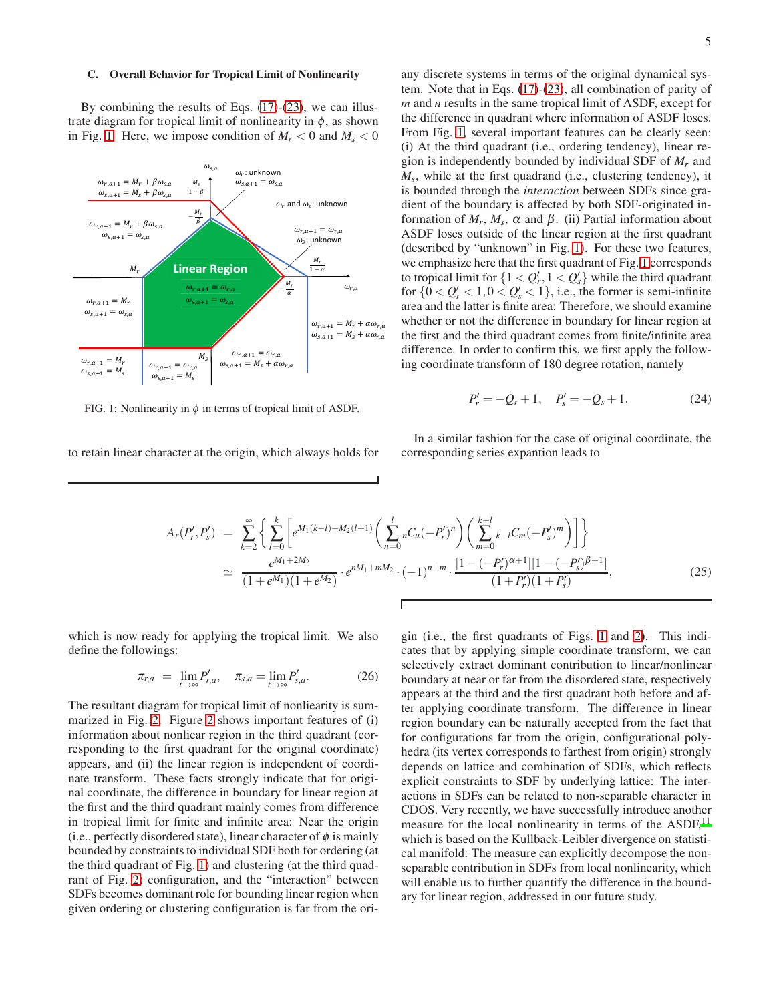### C. Overall Behavior for Tropical Limit of Nonlinearity

By combining the results of Eqs.  $(17)-(23)$ , we can illustrate diagram for tropical limit of nonlinearity in  $\phi$ , as shown in Fig. 1. Here, we impose condition of  $M_r < 0$  and  $M_s < 0$ 



<span id="page-4-0"></span>FIG. 1: Nonlinearity in  $\phi$  in terms of tropical limit of ASDF.

to retain linear character at the origin, which always holds for

any discrete systems in terms of the original dynamical system. Note that in Eqs.  $(17)-(23)$ , all combination of parity of  $m$  and  $n$  results in the same tropical limit of ASDF, except for the difference in quadrant where information of ASDF loses. From Fig. 1, several important features can be clearly seen: (i) At the third quadrant (i.e., ordering tendency), linear region is independently bounded by individual SDF of  $M_r$  and  $M_s$ , while at the first quadrand (i.e., clustering tendency), it is bounded through the *interaction* between SDFs since gradient of the boundary is affected by both SDF-originated information of  $M_r$ ,  $M_s$ ,  $\alpha$  and  $\beta$ . (ii) Partial information about ASDF loses outside of the linear region at the first quadrant (described by "unknown" in Fig. 1). For these two features, we emphasize here that the first quadrant of Fig. 1 corresponds to tropical limit for  $\{1 < Q'_r, 1 < Q'_s\}$  while the third quadrant for  $\{0 < Q'_r < 1, 0 < Q'_s < 1\}$ , i.e., the former is semi-infinite area and the latter is finite area: Therefore, we should examine whether or not the difference in boundary for linear region at the first and the third quadrant comes from finite/infinite area difference. In order to confirm this, we first apply the following coordinate transform of 180 degree rotation, namely

$$
P'_r = -Q_r + 1, \quad P'_s = -Q_s + 1. \tag{24}
$$

In a similar fashion for the case of original coordinate, the corresponding series expantion leads to

$$
A_r(P'_r, P'_s) = \sum_{k=2}^{\infty} \left\{ \sum_{l=0}^k \left[ e^{M_1(k-l) + M_2(l+1)} \left( \sum_{n=0}^l nC_u(-P'_r)^n \right) \left( \sum_{m=0}^{k-l} k-lC_m(-P'_s)^m \right) \right] \right\}
$$
  

$$
\simeq \frac{e^{M_1 + 2M_2}}{(1+e^{M_1})(1+e^{M_2})} \cdot e^{nM_1 + mM_2} \cdot (-1)^{n+m} \cdot \frac{[1 - (-P'_r)^{\alpha+1}][1 - (-P'_s)^{\beta+1}]}{(1+P'_r)(1+P'_s)},
$$
 (25)

Г

which is now ready for applying the tropical limit. We also define the followings:

$$
\pi_{r,a} = \lim_{t \to \infty} P'_{r,a}, \quad \pi_{s,a} = \lim_{t \to \infty} P'_{s,a}.
$$
 (26)

The resultant diagram for tropical limit of nonliearity is summarized in Fig. 2. Figure 2 shows important features of (i) information about nonliear region in the third quadrant (corresponding to the first quadrant for the original coordinate) appears, and (ii) the linear region is independent of coordinate transform. These facts strongly indicate that for original coordinate, the difference in boundary for linear region at the first and the third quadrant mainly comes from difference in tropical limit for finite and infinite area: Near the origin (i.e., perfectly disordered state), linear character of  $\phi$  is mainly bounded by constraints to individual SDF both for ordering (at the third quadrant of Fig. 1) and clustering (at the third quadrant of Fig. 2) configuration, and the "interaction" between SDFs becomes dominant role for bounding linear region when given ordering or clustering configuration is far from the ori-

gin (i.e., the first quadrants of Figs. 1 and 2). This indicates that by applying simple coordinate transform, we can selectively extract dominant contribution to linear/nonlinear boundary at near or far from the disordered state, respectively appears at the third and the first quadrant both before and after applying coordinate transform. The difference in linear region boundary can be naturally accepted from the fact that for configurations far from the origin, configurational polyhedra (its vertex corresponds to farthest from origin) strongly depends on lattice and combination of SDFs, which reflects explicit constraints to SDF by underlying lattice: The interactions in SDFs can be related to non-separable character in CDOS. Very recently, we have successfully introduce another measure for the local nonlinearity in terms of the ASDF.<sup>11</sup> which is based on the Kullback-Leibler divergence on statistical manifold: The measure can explicitly decompose the nonseparable contribution in SDFs from local nonlinearity, which will enable us to further quantify the difference in the boundary for linear region, addressed in our future study.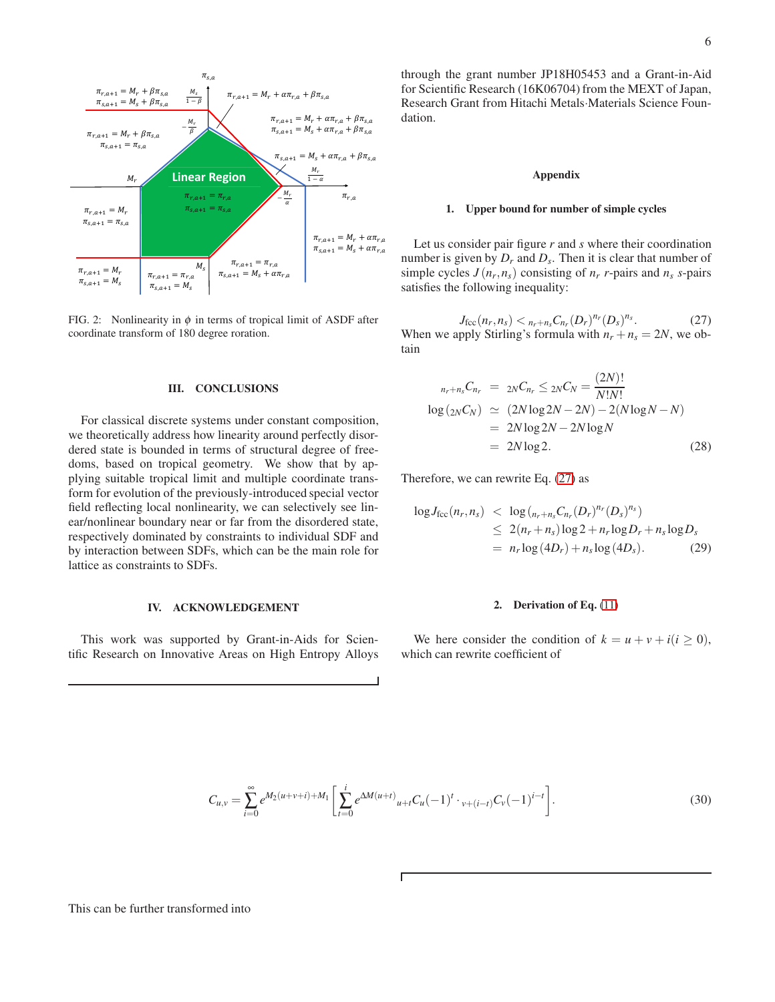

<span id="page-5-0"></span>FIG. 2: Nonlinearity in  $\phi$  in terms of tropical limit of ASDF after coordinate transform of 180 degree roration.

## **III. CONCLUSIONS**

For classical discrete systems under constant composition, we theoretically address how linearity around perfectly disordered state is bounded in terms of structural degree of freedoms, based on tropical geometry. We show that by applying suitable tropical limit and multiple coordinate transform for evolution of the previously-introduced special vector field reflecting local nonlinearity, we can selectively see linear/nonlinear boundary near or far from the disordered state, respectively dominated by constraints to individual SDF and by interaction between SDFs, which can be the main role for lattice as constraints to SDFs.

#### IV. ACKNOWLEDGEMENT

This work was supported by Grant-in-Aids for Scientific Research on Innovative Areas on High Entropy Alloys through the grant number JP18H05453 and a Grant-in-Aid for Scientific Research (16K06704) from the MEXT of Japan, Research Grant from Hitachi Metals Materials Science Foundation.

### **Appendix**

### 1. Upper bound for number of simple cycles

Let us consider pair figure  $r$  and  $s$  where their coordination number is given by  $D_r$  and  $D_s$ . Then it is clear that number of simple cycles  $J(n_r, n_s)$  consisting of  $n_r$  r-pairs and  $n_s$  s-pairs satisfies the following inequality:

<span id="page-5-1"></span> $J_{\text{fcc}}(n_r, n_s) <_{n_r+n_s} C_{n_r} (D_r)^{n_r} (D_s)^{n_s}.$  $(27)$ When we apply Stirling's formula with  $n_r + n_s = 2N$ , we obtain

$$
{}_{n_r+n_s}C_{n_r} = {}_{2N}C_{n_r} \leq {}_{2N}C_N = \frac{(2N)!}{N!N!}
$$
  
\n
$$
\log({}_{2N}C_N) \approx (2N \log 2N - 2N) - 2(N \log N - N)
$$
  
\n
$$
= 2N \log 2N - 2N \log N
$$
  
\n
$$
= 2N \log 2.
$$
 (28)

Therefore, we can rewrite Eq.  $(27)$  as

$$
\log J_{\text{fcc}}(n_r, n_s) < \log \left( \frac{1}{n_r + n_s C_n} \left( D_r \right)^{n_r} \left( D_s \right)^{n_s} \right) \\
&\leq 2(n_r + n_s) \log 2 + n_r \log D_r + n_s \log D_s \\
= n_r \log \left( 4D_r \right) + n_s \log \left( 4D_s \right). \tag{29}
$$

### 2. Derivation of Eq.  $(11)$

We here consider the condition of  $k = u + v + i(i \ge 0)$ , which can rewrite coefficient of

$$
C_{u,v} = \sum_{i=0}^{\infty} e^{M_2(u+v+i) + M_1} \left[ \sum_{t=0}^{i} e^{\Delta M(u+t)} u + t C_u (-1)^t \cdot v + (i-t) C_v (-1)^{i-t} \right].
$$
 (30)

This can be further transformed into